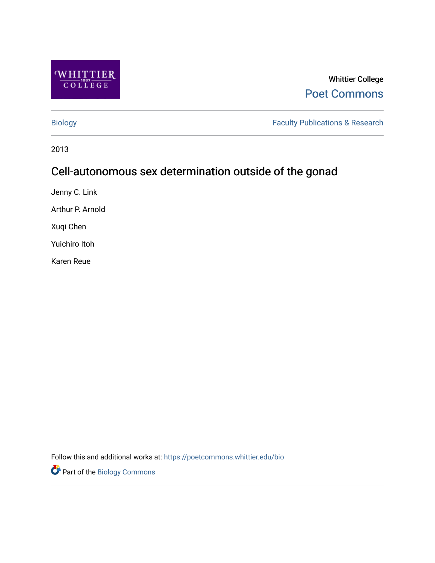

### Whittier College [Poet Commons](https://poetcommons.whittier.edu/)

[Biology](https://poetcommons.whittier.edu/bio) **Faculty Publications & Research** 

2013

## Cell-autonomous sex determination outside of the gonad

Jenny C. Link

Arthur P. Arnold

Xuqi Chen

Yuichiro Itoh

Karen Reue

Follow this and additional works at: [https://poetcommons.whittier.edu/bio](https://poetcommons.whittier.edu/bio?utm_source=poetcommons.whittier.edu%2Fbio%2F36&utm_medium=PDF&utm_campaign=PDFCoverPages)

Part of the [Biology Commons](http://network.bepress.com/hgg/discipline/41?utm_source=poetcommons.whittier.edu%2Fbio%2F36&utm_medium=PDF&utm_campaign=PDFCoverPages)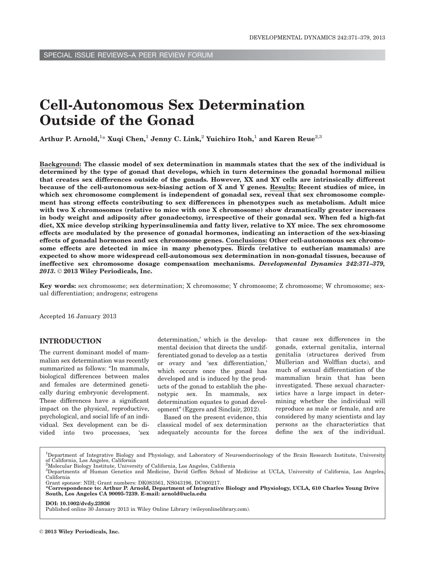# Cell-Autonomous Sex Determination Outside of the Gonad

Arthur P. Arnold, $^{1\ast}$  Xuqi Chen, $^{1}$  Jenny C. Link, $^{2}$  Yuichiro Itoh, $^{1}$  and Karen Reue $^{2,3}$ 

Background: The classic model of sex determination in mammals states that the sex of the individual is determined by the type of gonad that develops, which in turn determines the gonadal hormonal milieu that creates sex differences outside of the gonads. However, XX and XY cells are intrinsically different because of the cell-autonomous sex-biasing action of X and Y genes. Results: Recent studies of mice, in which sex chromosome complement is independent of gonadal sex, reveal that sex chromosome complement has strong effects contributing to sex differences in phenotypes such as metabolism. Adult mice with two X chromosomes (relative to mice with one X chromosome) show dramatically greater increases in body weight and adiposity after gonadectomy, irrespective of their gonadal sex. When fed a high-fat diet, XX mice develop striking hyperinsulinemia and fatty liver, relative to XY mice. The sex chromosome effects are modulated by the presence of gonadal hormones, indicating an interaction of the sex-biasing effects of gonadal hormones and sex chromosome genes. Conclusions: Other cell-autonomous sex chromosome effects are detected in mice in many phenotypes. Birds (relative to eutherian mammals) are expected to show more widespread cell-autonomous sex determination in non-gonadal tissues, because of ineffective sex chromosome dosage compensation mechanisms. Developmental Dynamics 242:371–379,  $2013$ .  $©$   $2013$  Wiley Periodicals, Inc.

Key words: sex chromosome; sex determination; X chromosome; Y chromosome; Z chromosome; W chromosome; sexual differentiation; androgens; estrogens

Accepted 16 January 2013

#### INTRODUCTION

The current dominant model of mammalian sex determination was recently summarized as follows: "In mammals, biological differences between males and females are determined genetically during embryonic development. These differences have a significant impact on the physical, reproductive, psychological, and social life of an individual. Sex development can be divided into two processes, 'sex determination,' which is the developmental decision that directs the undifferentiated gonad to develop as a testis or ovary and 'sex differentiation,' which occurs once the gonad has developed and is induced by the products of the gonad to establish the phenotypic sex. In mammals, sex determination equates to gonad development" (Eggers and Sinclair, 2012).

Based on the present evidence, this classical model of sex determination adequately accounts for the forces

that cause sex differences in the gonads, external genitalia, internal genitalia (structures derived from Müllerian and Wolffian ducts), and much of sexual differentiation of the mammalian brain that has been investigated. These sexual characteristics have a large impact in determining whether the individual will reproduce as male or female, and are considered by many scientists and lay persons as the characteristics that define the sex of the individual.

<sup>1</sup>Department of Integrative Biology and Physiology, and Laboratory of Neuroendocrinology of the Brain Research Institute, University of California, Los Angeles, California

<sup>2</sup>Molecular Biology Institute, University of California, Los Angeles, California<br><sup>3</sup>Departments of Human Genetics and Medicine, David Geffen School of Medicine at UCLA, University of California, Los Angeles, California Grant sponsor: NIH; Grant numbers: DK083561, NS043196, DC000217.

\*Correspondence to: Arthur P. Arnold, Department of Integrative Biology and Physiology, UCLA, 610 Charles Young Drive South, Los Angeles CA 90095-7239. E-mail: arnold@ucla.edu

DOI: 10.1002/dvdy.23936 Published online 30 January 2013 in Wiley Online Library (wileyonlinelibrary.com).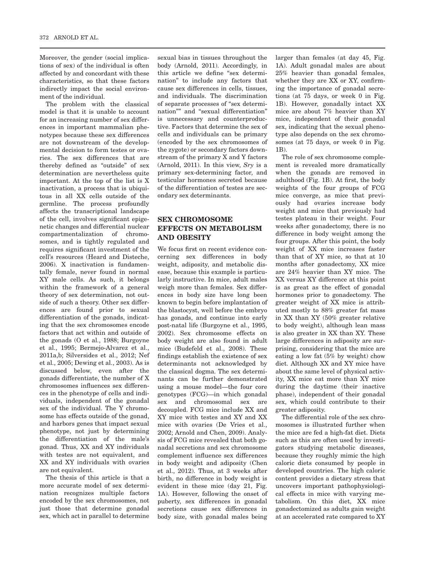Moreover, the gender (social implications of sex) of the individual is often affected by and concordant with these characteristics, so that these factors indirectly impact the social environment of the individual.

The problem with the classical model is that it is unable to account for an increasing number of sex differences in important mammalian phenotypes because these sex differences are not downstream of the developmental decision to form testes or ovaries. The sex differences that are thereby defined as "outside" of sex determination are nevertheless quite important. At the top of the list is X inactivation, a process that is ubiquitous in all XX cells outside of the germline. The process profoundly affects the transcriptional landscape of the cell, involves significant epigenetic changes and differential nuclear compartmentalization of chromosomes, and is tightly regulated and requires significant investment of the cell's resources (Heard and Disteche, 2006). X inactivation is fundamentally female, never found in normal XY male cells. As such, it belongs within the framework of a general theory of sex determination, not outside of such a theory. Other sex differences are found prior to sexual differentiation of the gonads, indicating that the sex chromosomes encode factors that act within and outside of the gonads (O et al., 1988; Burgoyne et al., 1995; Bermejo-Alvarez et al., 2011a,b; Silversides et al., 2012; Nef et al., 2005; Dewing et al., 2003). As is discussed below, even after the gonads differentiate, the number of X chromosomes influences sex differences in the phenotype of cells and individuals, independent of the gonadal sex of the individual. The Y chromosome has effects outside of the gonad, and harbors genes that impact sexual phenotype, not just by determining the differentiation of the male's gonad. Thus, XX and XY individuals with testes are not equivalent, and XX and XY individuals with ovaries are not equivalent.

The thesis of this article is that a more accurate model of sex determination recognizes multiple factors encoded by the sex chromosomes, not just those that determine gonadal sex, which act in parallel to determine sexual bias in tissues throughout the body (Arnold, 2011). Accordingly, in this article we define "sex determination" to include any factors that cause sex differences in cells, tissues, and individuals. The discrimination of separate processes of "sex determination"" and "sexual differentiation" is unnecessary and counterproductive. Factors that determine the sex of cells and individuals can be primary (encoded by the sex chromosomes of the zygote) or secondary factors downstream of the primary X and Y factors (Arnold, 2011). In this view, Sry is a primary sex-determining factor, and testicular hormones secreted because of the differentiation of testes are secondary sex determinants.

#### SEX CHROMOSOME EFFECTS ON METABOLISM AND OBESITY

We focus first on recent evidence concerning sex differences in body weight, adiposity, and metabolic disease, because this example is particularly instructive. In mice, adult males weigh more than females. Sex differences in body size have long been known to begin before implantation of the blastocyst, well before the embryo has gonads, and continue into early post-natal life (Burgoyne et al., 1995, 2002). Sex chromosome effects on body weight are also found in adult mice (Budefeld et al., 2008). These findings establish the existence of sex determinants not acknowledged by the classical dogma. The sex determinants can be further demonstrated using a mouse model—the four core genotypes (FCG)—in which gonadal sex and chromosomal sex are decoupled. FCG mice include XX and XY mice with testes and XY and XX mice with ovaries (De Vries et al., 2002; Arnold and Chen, 2009). Analysis of FCG mice revealed that both gonadal secretions and sex chromosome complement influence sex differences in body weight and adiposity (Chen et al., 2012). Thus, at 3 weeks after birth, no difference in body weight is evident in these mice (day 21, Fig. 1A). However, following the onset of puberty, sex differences in gonadal secretions cause sex differences in body size, with gonadal males being larger than females (at day 45, Fig. 1A). Adult gonadal males are about 25% heavier than gonadal females, whether they are XX or XY, confirming the importance of gonadal secretions (at 75 days, or week 0 in Fig. 1B). However, gonadally intact XX mice are about 7% heavier than XY mice, independent of their gonadal sex, indicating that the sexual phenotype also depends on the sex chromosomes (at 75 days, or week 0 in Fig. 1B).

The role of sex chromosome complement is revealed more dramatically when the gonads are removed in adulthood (Fig. 1B). At first, the body weights of the four groups of FCG mice converge, as mice that previously had ovaries increase body weight and mice that previously had testes plateau in their weight. Four weeks after gonadectomy, there is no difference in body weight among the four groups. After this point, the body weight of XX mice increases faster than that of XY mice, so that at 10 months after gonadectomy, XX mice are 24% heavier than XY mice. The XX versus XY difference at this point is as great as the effect of gonadal hormones prior to gonadectomy. The greater weight of XX mice is attributed mostly to 88% greater fat mass in XX than XY (50% greater relative to body weight), although lean mass is also greater in XX than XY. These large differences in adiposity are surprising, considering that the mice are eating a low fat (5% by weight) chow diet. Although XX and XY mice have about the same level of physical activity, XX mice eat more than XY mice during the daytime (their inactive phase), independent of their gonadal sex, which could contribute to their greater adiposity.

The differential role of the sex chromosomes is illustrated further when the mice are fed a high-fat diet. Diets such as this are often used by investigators studying metabolic diseases, because they roughly mimic the high caloric diets consumed by people in developed countries. The high caloric content provides a dietary stress that uncovers important pathophysiological effects in mice with varying metabolism. On this diet, XX mice gonadectomized as adults gain weight at an accelerated rate compared to XY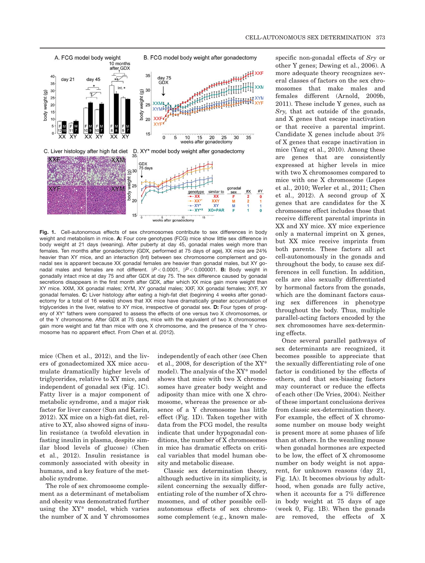

Fig. 1. Cell-autonomous effects of sex chromosomes contribute to sex differences in body weight and metabolism in mice. A: Four core genotypes (FCG) mice show little sex difference in body weight at 21 days (weaning). After puberty at day 45, gonadal males weigh more than females. Ten months after gonadectomy (GDX, performed at 75 days of age), XX mice are 24% heavier than XY mice, and an interaction (Int) between sex chromosome complement and gonadal sex is apparent because XX gonadal females are heavier than gonadal males, but XY gonadal males and females are not different.  $\frac{1}{1}P < 0.0001$ ,  $\frac{1}{1}P < 0.000001$ . B: Body weight in gonadally intact mice at day 75 and after GDX at day 75. The sex difference caused by gonadal secretions disappears in the first month after GDX, after which XX mice gain more weight than XY mice. XXM, XX gonadal males; XYM, XY gonadal males; XXF, XX gonadal females; XYF, XY gonadal females. C: Liver histology after eating a high-fat diet (beginning 4 weeks after gonadectomy for a total of 16 weeks) shows that XX mice have dramatically greater accumulation of triglycerides in the liver, relative to XY mice, irrespective of gonadal sex. D: Four types of progeny of XY\* fathers were compared to assess the effects of one versus two X chromosomes, or of the Y chromosome. After GDX at 75 days, mice with the equivalent of two X chromosomes gain more weight and fat than mice with one X chromosome, and the presence of the Y chromosome has no apparent effect. From Chen et al. (2012).

mice (Chen et al., 2012), and the livers of gonadectomized XX mice accumulate dramatically higher levels of triglycerides, relative to XY mice, and independent of gonadal sex (Fig. 1C). Fatty liver is a major component of metabolic syndrome, and a major risk factor for liver cancer (Sun and Karin, 2012). XX mice on a high-fat diet, relative to XY, also showed signs of insulin resistance (a twofold elevation in fasting insulin in plasma, despite similar blood levels of glucose) (Chen et al., 2012). Insulin resistance is commonly associated with obesity in humans, and a key feature of the metabolic syndrome.

The role of sex chromosome complement as a determinant of metabolism and obesity was demonstrated further using the XY\* model, which varies the number of X and Y chromosomes independently of each other (see Chen et al., 2008, for description of the XY\* model). The analysis of the XY\* model shows that mice with two X chromosomes have greater body weight and adiposity than mice with one X chromosome, whereas the presence or absence of a Y chromosome has little effect (Fig. 1D). Taken together with data from the FCG model, the results indicate that under hypogonadal conditions, the number of X chromosomes in mice has dramatic effects on critical variables that model human obesity and metabolic disease.

Classic sex determination theory, although seductive in its simplicity, is silent concerning the sexually differentiating role of the number of X chromosomes, and of other possible cellautonomous effects of sex chromosome complement (e.g., known male-

specific non-gonadal effects of Sry or other Y genes; Dewing et al., 2006). A more adequate theory recognizes several classes of factors on the sex chromosomes that make males and females different (Arnold, 2009b, 2011). These include Y genes, such as Sry, that act outside of the gonads, and X genes that escape inactivation or that receive a parental imprint. Candidate X genes include about 3% of X genes that escape inactivation in mice (Yang et al., 2010). Among these are genes that are consistently expressed at higher levels in mice with two X chromosomes compared to mice with one X chromosome (Lopes et al., 2010; Werler et al., 2011; Chen et al., 2012). A second group of X genes that are candidates for the X chromosome effect includes those that receive different parental imprints in XX and XY mice. XY mice experience only a maternal imprint on X genes, but XX mice receive imprints from both parents. These factors all act cell-autonomously in the gonads and throughout the body, to cause sex differences in cell function. In addition, cells are also sexually differentiated by hormonal factors from the gonads, which are the dominant factors causing sex differences in phenotype throughout the body. Thus, multiple parallel-acting factors encoded by the sex chromosomes have sex-determining effects.

Once several parallel pathways of sex determinants are recognized, it becomes possible to appreciate that the sexually differentiating role of one factor is conditioned by the effects of others, and that sex-biasing factors may counteract or reduce the effects of each other (De Vries, 2004). Neither of these important conclusions derives from classic sex-determination theory. For example, the effect of X chromosome number on mouse body weight is present more at some phases of life than at others. In the weanling mouse when gonadal hormones are expected to be low, the effect of X chromosome number on body weight is not apparent, for unknown reasons (day 21, Fig. 1A). It becomes obvious by adulthood, when gonads are fully active, when it accounts for a 7% difference in body weight at 75 days of age (week 0, Fig. 1B). When the gonads are removed, the effects of X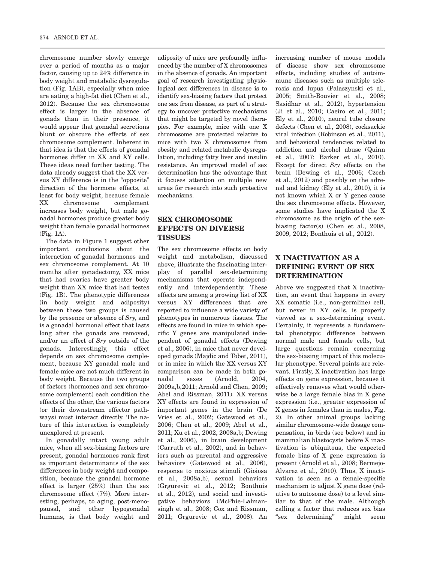chromosome number slowly emerge over a period of months as a major factor, causing up to 24% difference in body weight and metabolic dysregulation (Fig. 1AB), especially when mice are eating a high-fat diet (Chen et al., 2012). Because the sex chromosome effect is larger in the absence of gonads than in their presence, it would appear that gonadal secretions blunt or obscure the effects of sex chromosome complement. Inherent in that idea is that the effects of gonadal hormones differ in XX and XY cells. These ideas need further testing. The data already suggest that the XX versus XY difference is in the "opposite" direction of the hormone effects, at least for body weight, because female XX chromosome complement increases body weight, but male gonadal hormones produce greater body weight than female gonadal hormones (Fig. 1A).

The data in Figure 1 suggest other important conclusions about the interaction of gonadal hormones and sex chromosome complement. At 10 months after gonadectomy, XX mice that had ovaries have greater body weight than XX mice that had testes (Fig. 1B). The phenotypic differences (in body weight and adiposity) between these two groups is caused by the presence or absence of Sry, and is a gonadal hormonal effect that lasts long after the gonads are removed, and/or an effect of Sry outside of the gonads. Interestingly, this effect depends on sex chromosome complement, because XY gonadal male and female mice are not much different in body weight. Because the two groups of factors (hormones and sex chromosome complement) each condition the effects of the other, the various factors (or their downstream effector pathways) must interact directly. The nature of this interaction is completely unexplored at present.

In gonadally intact young adult mice, when all sex-biasing factors are present, gonadal hormones rank first as important determinants of the sex differences in body weight and composition, because the gonadal hormone effect is larger (25%) than the sex chromosome effect (7%). More interesting, perhaps, to aging, post-menopausal, and other hypogonadal humans, is that body weight and adiposity of mice are profoundly influenced by the number of X chromosomes in the absence of gonads. An important goal of research investigating physiological sex differences in disease is to identify sex-biasing factors that protect one sex from disease, as part of a strategy to uncover protective mechanisms that might be targeted by novel therapies. For example, mice with one X chromosome are protected relative to mice with two X chromosomes from obesity and related metabolic dysregulation, including fatty liver and insulin resistance. An improved model of sex determination has the advantage that it focuses attention on multiple new areas for research into such protective mechanisms.

#### SEX CHROMOSOME EFFECTS ON DIVERSE **TISSUES**

The sex chromosome effects on body weight and metabolism, discussed above, illustrate the fascinating interplay of parallel sex-determining mechanisms that operate independently and interdependently. These effects are among a growing list of XX versus XY differences that are reported to influence a wide variety of phenotypes in numerous tissues. The effects are found in mice in which specific Y genes are manipulated independent of gonadal effects (Dewing et al., 2006), in mice that never developed gonads (Majdic and Tobet, 2011), or in mice in which the XX versus XY comparison can be made in both gonadal sexes (Arnold, 2004, 2009a,b,2011; Arnold and Chen, 2009; Abel and Rissman, 2011). XX versus XY effects are found in expression of important genes in the brain (De Vries et al., 2002; Gatewood et al., 2006; Chen et al., 2009; Abel et al., 2011; Xu et al., 2002, 2008a,b; Dewing et al., 2006), in brain development (Carruth et al., 2002), and in behaviors such as parental and aggressive behaviors (Gatewood et al., 2006), response to noxious stimuli (Gioiosa et al., 2008a,b), sexual behaviors (Grgurevic et al., 2012; Bonthuis et al., 2012), and social and investigative behaviors (McPhie-Lalmansingh et al., 2008; Cox and Rissman, 2011; Grgurevic et al., 2008). An

increasing number of mouse models of disease show sex chromosome effects, including studies of autoimmune diseases such as multiple sclerosis and lupus (Palaszynski et al., 2005; Smith-Bouvier et al., 2008; Sasidhar et al., 2012), hypertension (Ji et al., 2010; Caeiro et al., 2011; Ely et al., 2010), neural tube closure defects (Chen et al., 2008), cocksackie viral infection (Robinson et al., 2011), and behavioral tendencies related to addiction and alcohol abuse (Quinn et al., 2007; Barker et al., 2010). Except for direct Sry effects on the brain (Dewing et al., 2006; Czech et al., 2012) and possibly on the adrenal and kidney (Ely et al., 2010), it is not known which X or Y genes cause the sex chromosome effects. However, some studies have implicated the X chromosome as the origin of the sexbiasing factor(s) (Chen et al., 2008, 2009, 2012; Bonthuis et al., 2012).

### X INACTIVATION AS A DEFINING EVENT OF SEX DETERMINATION

Above we suggested that X inactivation, an event that happens in every XX somatic (i.e., non-germline) cell, but never in XY cells, is properly viewed as a sex-determining event. Certainly, it represents a fundamental phenotypic difference between normal male and female cells, but large questions remain concerning the sex-biasing impact of this molecular phenotype. Several points are relevant. Firstly, X inactivation has large effects on gene expression, because it effectively removes what would otherwise be a large female bias in X gene expression (i.e., greater expression of X genes in females than in males, Fig. 2). In other animal groups lacking similar chromosome-wide dosage compensation, in birds (see below) and in mammalian blastocysts before X inactivation is ubiquitous, the expected female bias of X gene expression is present (Arnold et al., 2008; Bermejo-Alvarez et al., 2010). Thus, X inactivation is seen as a female-specific mechanism to adjust X gene dose (relative to autosome dose) to a level similar to that of the male. Although calling a factor that reduces sex bias "sex determining" might seem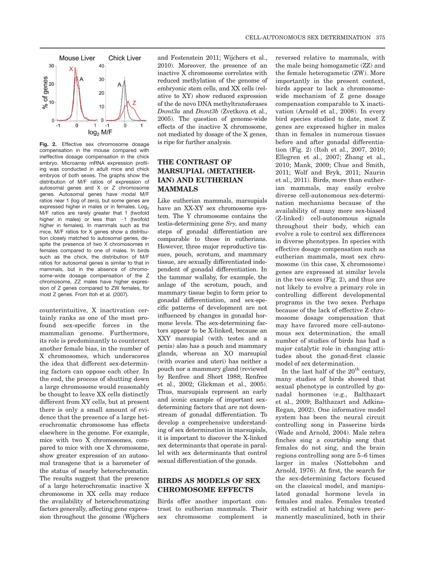

Fig. 2. Effective sex chromosome dosage compensation in the mouse compared with ineffective dosage compensation in the chick embryo. Microarray mRNA expression profiling was conducted in adult mice and chick embryos of both sexes. The graphs show the distribution of M/F ratios of expression of autosomal genes and X or Z chromosome genes. Autosomal genes have modal M/F ratios near 1 (log of zero), but some genes are expressed higher in males or in females. Log<sub>2</sub> M/F ratios are rarely greater that 1 (twofold higher in males) or less than -1 (twofold higher in females). In mammals such as the mice, M/F ratios for X genes show a distribution closely matched to autosomal genes, despite the presence of two X chromosomes in females compared to one of males. In birds such as the chick, the distribution of M/F ratios for autosomal genes is similar to that in mammals, but in the absence of chromosome-wide dosage compensation of the Z chromosome, ZZ males have higher expression of Z genes compared to ZW females, for most Z genes. From Itoh et al. (2007).

counterintuitive, X inactivation certainly ranks as one of the most profound sex-specific forces in the mammalian genome. Furthermore, its role is predominantly to counteract another female bias, in the number of X chromosomes, which underscores the idea that different sex-determining factors can oppose each other. In the end, the process of shutting down a large chromosome would reasonably be thought to leave XX cells distinctly different from XY cells, but at present there is only a small amount of evidence that the presence of a large heterochromatic chromosome has effects elsewhere in the genome. For example, mice with two X chromosomes, compared to mice with one X chromosome, show greater expression of an autosomal transgene that is a barometer of the status of nearby heterochromatin. The results suggest that the presence of a large heterochromatic inactive X chromosome in XX cells may reduce the availability of heterochromatizing factors generally, affecting gene expression throughout the genome (Wijchers and Festenstein 2011; Wijchers et al., 2010). Moreover, the presence of an inactive X chromosome correlates with reduced methylation of the genome of embryonic stem cells, and XX cells (relative to XY) show reduced expression of the de novo DNA methyltransferases Dnmt3a and Dnmt3b (Zvetkova et al., 2005). The question of genome-wide effects of the inactive X chromosome, not mediated by dosage of the X genes, is ripe for further analysis.

### THE CONTRAST OF MARSUPIAL (METATHER-IAN) AND EUTHERIAN MAMMALS

Like eutherian mammals, marsupials have an XX-XY sex chromosome system. The Y chromosome contains the testis-determining gene Sry, and many steps of gonadal differentiation are comparable to those in eutherians. However, three major reproductive tissues, pouch, scrotum, and mammary tissue, are sexually differentiated independent of gonadal differentiation. In the tammar wallaby, for example, the anlage of the scrotum, pouch, and mammary tissue begin to form prior to gonadal differentiation, and sex-specific patterns of development are not influenced by changes in gonadal hormone levels. The sex-determining factors appear to be X-linked, because an XXY marsupial (with testes and a penis) also has a pouch and mammary glands, whereas an XO marsupial (with ovaries and uteri) has neither a pouch nor a mammary gland (reviewed by Renfree and Short 1988; Renfree et al., 2002; Glickman et al., 2005). Thus, marsupials represent an early and iconic example of important sexdetermining factors that are not downstream of gonadal differentiation. To develop a comprehensive understanding of sex determination in marsupials, it is important to discover the X-linked sex determinants that operate in parallel with sex determinants that control sexual differentiation of the gonads.

#### BIRDS AS MODELS OF SEX CHROMOSOME EFFECTS

Birds offer another important contrast to eutherian mammals. Their sex chromosome complement is reversed relative to mammals, with the male being homogametic (ZZ) and the female heterogametic (ZW). More importantly in the present context, birds appear to lack a chromosomewide mechanism of Z gene dosage compensation comparable to X inactivation (Arnold et al., 2008). In every bird species studied to date, most Z genes are expressed higher in males than in females in numerous tissues before and after gonadal differentiation (Fig. 2) (Itoh et al., 2007, 2010; Ellegren et al., 2007; Zhang et al., 2010; Mank, 2009; Chue and Smith, 2011; Wolf and Bryk, 2011; Naurin et al., 2011). Birds, more than eutherian mammals, may easily evolve diverse cell-autonomous sex-determination mechanisms because of the availability of many more sex-biased (Z-linked) cell-autonomous signals throughout their body, which can evolve a role to control sex differences in diverse phenotypes. In species with effective dosage compensation such as eutherian mammals, most sex chromosome (in this case, X chromosome) genes are expressed at similar levels in the two sexes (Fig. 2), and thus are not likely to evolve a primary role in controlling different developmental programs in the two sexes. Perhaps because of the lack of effective Z chromosome dosage compensation that may have favored more cell-autonomous sex determination, the small number of studies of birds has had a major catalytic role in changing attitudes about the gonad-first classic model of sex determination.

In the last half of the  $20^{\rm th}$  century, many studies of birds showed that sexual phenotype is controlled by gonadal hormones (e.g., Balthazart et al., 2009; Balthazart and Adkins-Regan, 2002). One informative model system has been the neural circuit controlling song in Passerine birds (Wade and Arnold, 2004). Male zebra finches sing a courtship song that females do not sing, and the brain regions controlling song are 5–6 times larger in males (Nottebohm and Arnold, 1976). At first, the search for the sex-determining factors focused on the classical model, and manipulated gonadal hormone levels in females and males. Females treated with estradiol at hatching were permanently masculinized, both in their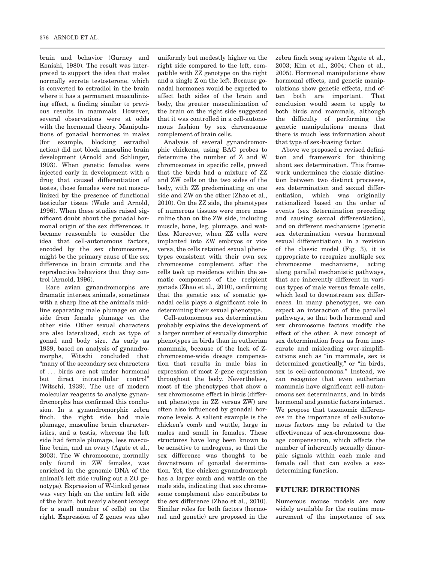brain and behavior (Gurney and Konishi, 1980). The result was interpreted to support the idea that males normally secrete testosterone, which is converted to estradiol in the brain where it has a permanent masculinizing effect, a finding similar to previous results in mammals. However, several observations were at odds with the hormonal theory. Manipulations of gonadal hormones in males (for example, blocking estradiol action) did not block masculine brain development (Arnold and Schlinger, 1993). When genetic females were injected early in development with a drug that caused differentiation of testes, those females were not masculinized by the presence of functional testicular tissue (Wade and Arnold, 1996). When these studies raised significant doubt about the gonadal hormonal origin of the sex differences, it became reasonable to consider the idea that cell-autonomous factors, encoded by the sex chromosomes, might be the primary cause of the sex difference in brain circuits and the reproductive behaviors that they control (Arnold, 1996).

Rare avian gynandromorphs are dramatic intersex animals, sometimes with a sharp line at the animal's midline separating male plumage on one side from female plumage on the other side. Other sexual characters are also lateralized, such as type of gonad and body size. As early as 1939, based on analysis of gynandromorphs, Witschi concluded that "many of the secondary sex characters of ... birds are not under hormonal but direct intracellular control" (Witschi, 1939). The use of modern molecular reagents to analyze gynandromorphs has confirmed this conclusion. In a gynandromorphic zebra finch, the right side had male plumage, masculine brain characteristics, and a testis, whereas the left side had female plumage, less masculine brain, and an ovary (Agate et al., 2003). The W chromosome, normally only found in ZW females, was enriched in the genomic DNA of the animal's left side (ruling out a ZO genotype). Expression of W-linked genes was very high on the entire left side of the brain, but nearly absent (except for a small number of cells) on the right. Expression of Z genes was also

uniformly but modestly higher on the right side compared to the left, compatible with ZZ genotype on the right and a single Z on the left. Because gonadal hormones would be expected to affect both sides of the brain and body, the greater masculinization of the brain on the right side suggested that it was controlled in a cell-autonomous fashion by sex chromosome complement of brain cells.

Analysis of several gynandromorphic chickens, using BAC probes to determine the number of Z and W chromosomes in specific cells, proved that the birds had a mixture of ZZ and ZW cells on the two sides of the body, with ZZ predominating on one side and ZW on the other (Zhao et al., 2010). On the ZZ side, the phenotypes of numerous tissues were more masculine than on the ZW side, including muscle, bone, leg, plumage, and wattles. Moreover, when ZZ cells were implanted into ZW embryos or vice versa, the cells retained sexual phenotypes consistent with their own sex chromosome complement after the cells took up residence within the somatic component of the recipient gonads (Zhao et al., 2010), confirming that the genetic sex of somatic gonadal cells plays a significant role in determining their sexual phenotype.

Cell-autonomous sex determination probably explains the development of a larger number of sexually dimorphic phenotypes in birds than in eutherian mammals, because of the lack of Zchromosome-wide dosage compensation that results in male bias in expression of most Z-gene expression throughout the body. Nevertheless, most of the phenotypes that show a sex chromosome effect in birds (different phenotype in ZZ versus ZW) are often also influenced by gonadal hormone levels. A salient example is the chicken's comb and wattle, large in males and small in females. These structures have long been known to be sensitive to androgens, so that the sex difference was thought to be downstream of gonadal determination. Yet, the chicken gynandromorph has a larger comb and wattle on the male side, indicating that sex chromosome complement also contributes to the sex difference (Zhao et al., 2010). Similar roles for both factors (hormonal and genetic) are proposed in the

zebra finch song system (Agate et al., 2003; Kim et al., 2004; Chen et al., 2005). Hormonal manipulations show hormonal effects, and genetic manipulations show genetic effects, and often both are important. That conclusion would seem to apply to both birds and mammals, although the difficulty of performing the genetic manipulations means that there is much less information about that type of sex-biasing factor.

Above we proposed a revised definition and framework for thinking about sex determination. This framework undermines the classic distinction between two distinct processes, sex determination and sexual differentiation, which was originally rationalized based on the order of events (sex determination preceding and causing sexual differentiation), and on different mechanisms (genetic sex determination versus hormonal sexual differentiation). In a revision of the classic model (Fig. 3), it is appropriate to recognize multiple sex chromosome mechanisms, acting along parallel mechanistic pathways, that are inherently different in various types of male versus female cells, which lead to downstream sex differences. In many phenotypes, we can expect an interaction of the parallel pathways, so that both hormonal and sex chromosome factors modify the effect of the other. A new concept of sex determination frees us from inaccurate and misleading over-simplifications such as "in mammals, sex is determined genetically," or "in birds, sex is cell-autonomous." Instead, we can recognize that even eutherian mammals have significant cell-autonomous sex determinants, and in birds hormonal and genetic factors interact. We propose that taxonomic differences in the importance of cell-autonomous factors may be related to the effectiveness of sex-chromosome dosage compensation, which affects the number of inherently sexually dimorphic signals within each male and female cell that can evolve a sexdetermining function.

#### FUTURE DIRECTIONS

Numerous mouse models are now widely available for the routine measurement of the importance of sex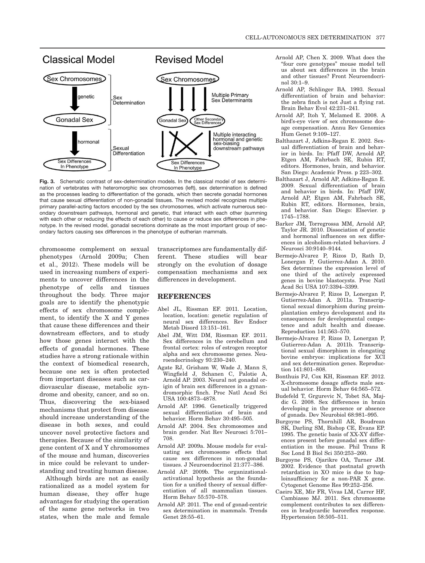

Fig. 3. Schematic contrast of sex-determination models. In the classical model of sex determination of vertebrates with heteromorphic sex chromosomes (left), sex determination is defined as the processes leading to differentiation of the gonads, which then secrete gonadal hormones that cause sexual differentiation of non-gonadal tissues. The revised model recognizes multiple primary parallel-acting factors encoded by the sex chromosomes, which activate numerous secondary downstream pathways, hormonal and genetic, that interact with each other (summing with each other or reducing the effects of each other) to cause or reduce sex differences in phenotype. In the revised model, gonadal secretions dominate as the most important group of secondary factors causing sex differences in the phenotype of eutherian mammals.

chromosome complement on sexual phenotypes (Arnold 2009a; Chen et al., 2012). These models will be used in increasing numbers of experiments to uncover differences in the phenotype of cells and tissues throughout the body. Three major goals are to identify the phenotypic effects of sex chromosome complement, to identify the X and Y genes that cause these differences and their downstream effectors, and to study how those genes interact with the effects of gonadal hormones. These studies have a strong rationale within the context of biomedical research, because one sex is often protected from important diseases such as cardiovascular disease, metabolic syndrome and obesity, cancer, and so on. Thus, discovering the sex-biased mechanisms that protect from disease should increase understanding of the disease in both sexes, and could uncover novel protective factors and therapies. Because of the similarity of gene content of X and Y chromosomes of the mouse and human, discoveries in mice could be relevant to understanding and treating human disease.

Although birds are not as easily rationalized as a model system for human disease, they offer huge advantages for studying the operation of the same gene networks in two states, when the male and female transcriptomes are fundamentally different. These studies will bear strongly on the evolution of dosage compensation mechanisms and sex differences in development.

#### REFERENCES

- Abel JL, Rissman EF. 2011. Location, location, location: genetic regulation of neural sex differences. Rev Endocr Metab Disord 13:151–161.
- Abel JM, Witt DM, Rissman EF. 2011. Sex differences in the cerebellum and frontal cortex: roles of estrogen receptor alpha and sex chromosome genes. Neuroendocrinology 93:230–240.
- Agate RJ, Grisham W, Wade J, Mann S, Wingfield J, Schanen C, Palotie A, Arnold AP. 2003. Neural not gonadal origin of brain sex differences in a gynandromorphic finch. Proc Natl Acad Sci USA 100:4873–4878.
- Arnold AP. 1996. Genetically triggered sexual differentiation of brain and behavior. Horm Behav 30:495–505.
- Arnold AP. 2004. Sex chromosomes and brain gender. Nat Rev Neurosci 5:701– 708.
- Arnold AP. 2009a. Mouse models for evaluating sex chromosome effects that cause sex differences in non-gonadal tissues. J Neuroendocrinol 21:377–386.
- Arnold AP. 2009b. The organizationalactivational hypothesis as the foundation for a unified theory of sexual differentiation of all mammalian tissues. Horm Behav 55:570–578.
- Arnold AP. 2011. The end of gonad-centric sex determination in mammals. Trends Genet 28:55–61.
- Arnold AP, Chen X. 2009. What does the "four core genotypes" mouse model tell us about sex differences in the brain and other tissues? Front Neuroendocrinol 30:1–9.
- Arnold AP, Schlinger BA. 1993. Sexual differentiation of brain and behavior: the zebra finch is not Just a flying rat. Brain Behav Evol 42:231–241.
- Arnold AP, Itoh Y, Melamed E. 2008. A bird's-eye view of sex chromosome dosage compensation. Annu Rev Genomics Hum Genet 9:109–127.
- Balthazart J, Adkins-Regan E. 2002. Sexual differentiation of brain and behavior in birds. In: Pfaff DW, Arnold AP, Etgen AM, Fahrbach SE, Rubin RT, editors. Hormones, brain, and behavior. San Diego: Academic Press. p 223–302.
- Balthazart J, Arnold AP, Adkins-Regan E. 2009. Sexual differentiation of brain and behavior in birds. In: Pfaff DW, Arnold AP, Etgen AM, Fahrbach SE, Rubin RT, editors. Hormones, brain, and behavior. San Diego: Elsevier. p 1745–1788.
- Barker JM, Torregrossa MM, Arnold AP, Taylor JR. 2010. Dissociation of genetic and hormonal influences on sex differences in alcoholism-related behaviors. J Neurosci 30:9140–9144.
- Bermejo-Alvarez P, Rizos D, Rath D, Lonergan P, Gutierrez-Adan A. 2010. Sex determines the expression level of one third of the actively expressed genes in bovine blastocysts. Proc Natl Acad Sci USA 107:3394–3399.
- Bermejo-Alvarez P, Rizos D, Lonergan P, Gutierrez-Adan A. 2011a. Transcriptional sexual dimorphism during preimplantation embryo development and its consequences for developmental competence and adult health and disease. Reproduction 141:563–570.
- Bermejo-Alvarez P, Rizos D, Lonergan P, Gutierrez-Adan A. 2011b. Transcriptional sexual dimorphism in elongating bovine embryos: implications for XCI and sex determination genes. Reproduction 141:801–808.
- Bonthuis PJ, Cox KH, Rissman EF. 2012. X-chromosome dosage affects male sexual behavior. Horm Behav 64:565–572.
- Budefeld T, Grgurevic N, Tobet SA, Majdic G. 2008. Sex differences in brain developing in the presence or absence of gonads. Dev Neurobiol 68:981–995.
- Burgoyne PS, Thornhill AR, Boudrean SK, Darling SM, Bishop CE, Evans EP. 1995. The genetic basis of XX-XY differences present before gonadal sex differentiation in the mouse. Phil Trans R Soc Lond B Biol Sci 350:253–260.
- Burgoyne PS, Ojarikre OA, Turner JM. 2002. Evidence that postnatal growth retardation in XO mice is due to haploinsufficiency for a non-PAR X gene. Cytogenet Genome Res 99:252–256.
- Caeiro XE, Mir FR, Vivas LM, Carrer HF, Cambiasso MJ. 2011. Sex chromosome complement contributes to sex differences in bradycardic baroreflex response. Hypertension 58:505–511.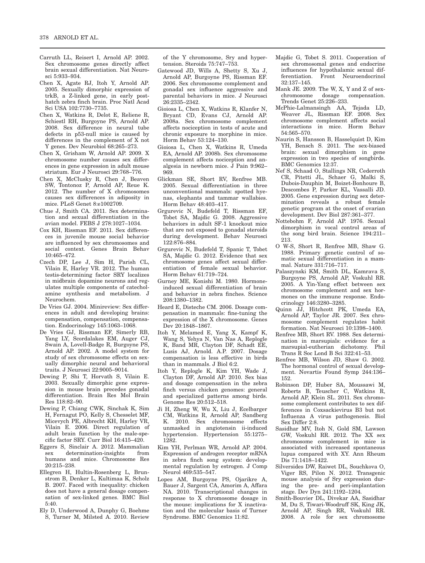- Carruth LL, Reisert I, Arnold AP. 2002. Sex chromosome genes directly affect brain sexual differentiation. Nat Neurosci 5:933–934.
- Chen X, Agate RJ, Itoh Y, Arnold AP. 2005. Sexually dimorphic expression of trkB, a Z-linked gene, in early posthatch zebra finch brain. Proc Natl Acad Sci USA 102:7730–7735.
- Chen X, Watkins R, Delot E, Reliene R, Schiestl RH, Burgoyne PS, Arnold AP. 2008. Sex difference in neural tube defects in p53-null mice is caused by differences in the complement of X not Y genes. Dev Neurobiol 68:265–273.
- Chen X, Grisham W, Arnold AP. 2009. X chromosome number causes sex differences in gene expression in adult mouse striatum. Eur J Neurosci 29:768–776.
- Chen X, McClusky R, Chen J, Beaven SW, Tontonoz P, Arnold AP, Reue K. 2012. The number of X chromosomes causes sex differences in adiposity in mice. PLoS Genet 8:e1002709.
- Chue J, Smith CA. 2011. Sex determination and sexual differentiation in the avian model. FEBS J 278:1027–1034.
- Cox KH, Rissman EF. 2011. Sex differences in juvenile mouse social behavior are influenced by sex chromosomes and social context. Genes Brain Behav 10:465–472.
- Czech DP, Lee J, Sim H, Parish CL, Vilain E, Harley VR. 2012. The human testis-determining factor SRY localizes in midbrain dopamine neurons and regulates multiple components of catecholamine synthesis and metabolism. J Neurochem.
- De Vries GJ. 2004. Minireview: Sex differences in adult and developing brains: compensation, compensation, compensation. Endocrinology 145:1063–1068.
- De Vries GJ, Rissman EF, Simerly RB, Yang LY, Scordalakes EM, Auger CJ, Swain A, Lovell-Badge R, Burgoyne PS, Arnold AP. 2002. A model system for study of sex chromosome effects on sexually dimorphic neural and behavioral traits. J Neurosci 22:9005–9014.
- Dewing P, Shi T, Horvath S, Vilain E. 2003. Sexually dimorphic gene expression in mouse brain precedes gonadal differentiation. Brain Res Mol Brain Res 118:82–90.
- Dewing P, Chiang CWK, Sinchak K, Sim H, Fernagut PO, Kelly S, Chesselet MF, Micevych PE, Albrecht KH, Harley VR, Vilain E. 2006. Direct regulation of adult brain function by the male-specific factor SRY. Curr Biol 16:415–420.
- Eggers S, Sinclair A. 2012. Mammalian sex determination-insights from humans and mice. Chromosome Res 20:215–238.
- Ellegren H, Hultin-Rosenberg L, Brunstrom B, Denker L, Kultimaa K, Scholz B. 2007. Faced with inequality: chicken does not have a general dosage compensation of sex-linked genes. BMC Biol  $5:40.$
- Ely D, Underwood A, Dunphy G, Boehme S, Turner M, Milsted A. 2010. Review

of the Y chromosome, Sry and hypertension. Steroids 75:747–753.

- Gatewood JD, Wills A, Shetty S, Xu J, Arnold AP, Burgoyne PS, Rissman EF. 2006. Sex chromosome complement and gonadal sex influence aggressive and parental behaviors in mice. J Neurosci 26:2335–2342.
- Gioiosa L, Chen X, Watkins R, Klanfer N, Bryant CD, Evans CJ, Arnold AP. 2008a. Sex chromosome complement affects nociception in tests of acute and chronic exposure to morphine in mice. Horm Behav 53:124–130.
- Gioiosa L, Chen X, Watkins R, Umeda EA, Arnold AP. 2008b. Sex chromosome complement affects nociception and analgesia in newborn mice. J Pain 9:962– 969.
- Glickman SE, Short RV, Renfree MB. 2005. Sexual differentiation in three unconventional mammals: spotted hyenas, elephants and tammar wallabies. Horm Behav 48:403–417.
- Grgurevic N, Budefeld T, Rissman EF, Tobet SA, Majdic G. 2008. Aggressive behaviors in adult SF-1 knockout mice that are not exposed to gonadal steroids during development. Behav Neurosci 122:876–884.
- Grgurevic N, Budefeld T, Spanic T, Tobet SA, Majdic G. 2012. Evidence that sex chromosome genes affect sexual differentiation of female sexual behavior. Horm Behav 61:719–724.
- Gurney ME, Konishi M. 1980. Hormoneinduced sexual differentiation of brain and behavior in zebra finches. Science 208:1380–1382.
- Heard E, Disteche CM. 2006. Dosage compensation in mammals: fine-tuning the expression of the X chromosome. Genes Dev 20:1848–1867.
- Itoh Y, Melamed E, Yang X, Kampf K, Wang S, Yehya N, Van Nas A, Replogle K, Band MR, Clayton DF, Schadt EE, Lusis AJ, Arnold. A.P. 2007. Dosage compensation is less effective in birds than in mammals. J Biol 6:2.
- Itoh Y, Replogle K, Kim YH, Wade J, Clayton DF, Arnold AP. 2010. Sex bias and dosage compensation in the zebra finch versus chicken genomes: general and specialized patterns among birds. Genome Res 20:512–518.
- Ji H, Zheng W, Wu X, Liu J, Ecelbarger CM, Watkins R, Arnold AP, Sandberg K. 2010. Sex chromosome effects unmasked in angiotensin ii-induced hypertension. Hypertension 55:1275– 1282.
- Kim YH, Perlman WR, Arnold AP. 2004. Expression of androgen receptor mRNA in zebra finch song system: developmental regulation by estrogen. J Comp Neurol 469:535–547.
- Lopes AM, Burgoyne PS, Ojarikre A, Bauer J, Sargent CA, Amorim A, Affara NA. 2010. Transcriptional changes in response to X chromosome dosage in the mouse: implications for X inactivation and the molecular basis of Turner Syndrome. BMC Genomics 11:82.
- Majdic G, Tobet S. 2011. Cooperation of sex chromosomal genes and endocrine influences for hypothalamic sexual dif-Front Neuroendocrinol 32:137–145.
- Mank JE. 2009. The W, X, Y and Z of sexchromosome dosage compensation. Trends Genet 25:226–233.
- McPhie-Lalmansingh AA, Tejada LD, Weaver JL, Rissman EF. 2008. Sex chromosome complement affects social interactions in mice. Horm Behav 54:565–570.
- Naurin S, Hansson B, Hasselquist D, Kim YH, Bensch S. 2011. The sex-biased brain: sexual dimorphism in gene expression in two species of songbirds. BMC Genomics 12:37.
- Nef S, Schaad O, Stallings NR, Cederroth CR, Pitetti JL, Schaer G, Malki S, Dubois-Dauphin M, Boizet-Bonhoure B, Descombes P, Parker KL, Vassalli JD. 2005. Gene expression during sex determination reveals a robust female genetic program at the onset of ovarian development. Dev Biol 287:361–377.
- Nottebohm F, Arnold AP. 1976. Sexual dimorphism in vocal control areas of the song bird brain. Science 194:211– 213.
- O W-S, Short R, Renfree MB, Shaw G. 1988. Primary genetic control of somatic sexual differentiation in a mammal. Nature 331:716–717.
- Palaszynski KM, Smith DL, Kamrava S, Burgoyne PS, Arnold AP, Voskuhl RR. 2005. A Yin-Yang effect between sex chromosome complement and sex hormones on the immune response. Endocrinology 146:3280–3285.
- Quinn JJ, Hitchcott PK, Umeda EA, Arnold AP, Taylor JR. 2007. Sex chromosome complement regulates habit formation. Nat Neurosci 10:1398–1400.
- Renfree MB, Short RV. 1988. Sex determination in marsupials: evidence for a marsupial-eutherian dichotomy. Phil Trans R Soc Lond B Sci 322:41–53.
- Renfree MB, Wilson JD, Shaw G. 2002. The hormonal control of sexual development. Novartis Found Symp 244:136– 152.
- Robinson DP, Huber SA, Moussawi M, Roberts B, Teuscher C, Watkins R, Arnold AP, Klein SL. 2011. Sex chromosome complement contributes to sex differences in Coxsackievirus B3 but not Influenza A virus pathogenesis. Biol Sex Differ 2:8.
- Sasidhar MV, Itoh N, Gold SM, Lawson GW, Voskuhl RR. 2012. The XX sex chromosome complement in mice is associated with increased spontaneous lupus compared with XY. Ann Rheum Dis 71:1418–1422.
- Silversides DW, Raiwet DL, Souchkova O, Viger RS, Pilon N. 2012. Transgenic mouse analysis of Sry expression during the pre- and peri-implantation stage. Dev Dyn 241:1192–1204.
- Smith-Bouvier DL, Divekar AA, Sasidhar M, Du S, Tiwari-Woodruff SK, King JK, Arnold AP, Singh RR, Voskuhl RR. 2008. A role for sex chromosome